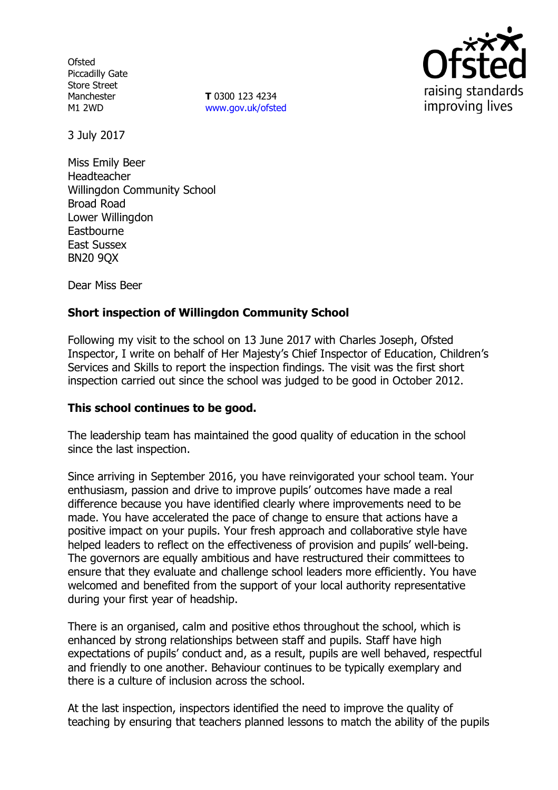**Ofsted** Piccadilly Gate Store Street Manchester M1 2WD

**T** 0300 123 4234 [www.gov.uk/ofsted](http://www.gov.uk/ofsted)



3 July 2017

Miss Emily Beer Headteacher Willingdon Community School Broad Road Lower Willingdon **Eastbourne** East Sussex BN20 9QX

Dear Miss Beer

# **Short inspection of Willingdon Community School**

Following my visit to the school on 13 June 2017 with Charles Joseph, Ofsted Inspector, I write on behalf of Her Majesty's Chief Inspector of Education, Children's Services and Skills to report the inspection findings. The visit was the first short inspection carried out since the school was judged to be good in October 2012.

## **This school continues to be good.**

The leadership team has maintained the good quality of education in the school since the last inspection.

Since arriving in September 2016, you have reinvigorated your school team. Your enthusiasm, passion and drive to improve pupils' outcomes have made a real difference because you have identified clearly where improvements need to be made. You have accelerated the pace of change to ensure that actions have a positive impact on your pupils. Your fresh approach and collaborative style have helped leaders to reflect on the effectiveness of provision and pupils' well-being. The governors are equally ambitious and have restructured their committees to ensure that they evaluate and challenge school leaders more efficiently. You have welcomed and benefited from the support of your local authority representative during your first year of headship.

There is an organised, calm and positive ethos throughout the school, which is enhanced by strong relationships between staff and pupils. Staff have high expectations of pupils' conduct and, as a result, pupils are well behaved, respectful and friendly to one another. Behaviour continues to be typically exemplary and there is a culture of inclusion across the school.

At the last inspection, inspectors identified the need to improve the quality of teaching by ensuring that teachers planned lessons to match the ability of the pupils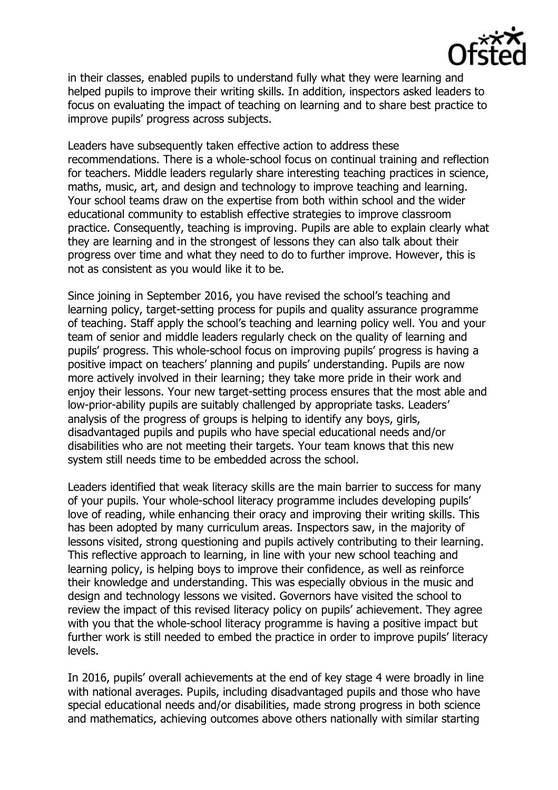

in their classes, enabled pupils to understand fully what they were learning and helped pupils to improve their writing skills. In addition, inspectors asked leaders to focus on evaluating the impact of teaching on learning and to share best practice to improve pupils' progress across subjects.

Leaders have subsequently taken effective action to address these recommendations. There is a whole-school focus on continual training and reflection for teachers. Middle leaders regularly share interesting teaching practices in science, maths, music, art, and design and technology to improve teaching and learning. Your school teams draw on the expertise from both within school and the wider educational community to establish effective strategies to improve classroom practice. Consequently, teaching is improving. Pupils are able to explain clearly what they are learning and in the strongest of lessons they can also talk about their progress over time and what they need to do to further improve. However, this is not as consistent as you would like it to be.

Since joining in September 2016, you have revised the school's teaching and learning policy, target-setting process for pupils and quality assurance programme of teaching. Staff apply the school's teaching and learning policy well. You and your team of senior and middle leaders regularly check on the quality of learning and pupils' progress. This whole-school focus on improving pupils' progress is having a positive impact on teachers' planning and pupils' understanding. Pupils are now more actively involved in their learning; they take more pride in their work and enjoy their lessons. Your new target-setting process ensures that the most able and low-prior-ability pupils are suitably challenged by appropriate tasks. Leaders' analysis of the progress of groups is helping to identify any boys, girls, disadvantaged pupils and pupils who have special educational needs and/or disabilities who are not meeting their targets. Your team knows that this new system still needs time to be embedded across the school.

Leaders identified that weak literacy skills are the main barrier to success for many of your pupils. Your whole-school literacy programme includes developing pupils' love of reading, while enhancing their oracy and improving their writing skills. This has been adopted by many curriculum areas. Inspectors saw, in the majority of lessons visited, strong questioning and pupils actively contributing to their learning. This reflective approach to learning, in line with your new school teaching and learning policy, is helping boys to improve their confidence, as well as reinforce their knowledge and understanding. This was especially obvious in the music and design and technology lessons we visited. Governors have visited the school to review the impact of this revised literacy policy on pupils' achievement. They agree with you that the whole-school literacy programme is having a positive impact but further work is still needed to embed the practice in order to improve pupils' literacy levels.

In 2016, pupils' overall achievements at the end of key stage 4 were broadly in line with national averages. Pupils, including disadvantaged pupils and those who have special educational needs and/or disabilities, made strong progress in both science and mathematics, achieving outcomes above others nationally with similar starting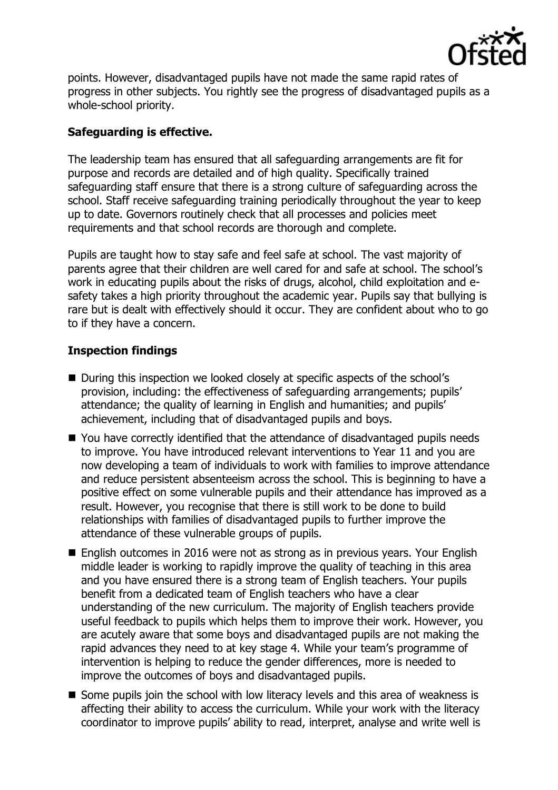

points. However, disadvantaged pupils have not made the same rapid rates of progress in other subjects. You rightly see the progress of disadvantaged pupils as a whole-school priority.

# **Safeguarding is effective.**

The leadership team has ensured that all safeguarding arrangements are fit for purpose and records are detailed and of high quality. Specifically trained safeguarding staff ensure that there is a strong culture of safeguarding across the school. Staff receive safeguarding training periodically throughout the year to keep up to date. Governors routinely check that all processes and policies meet requirements and that school records are thorough and complete.

Pupils are taught how to stay safe and feel safe at school. The vast majority of parents agree that their children are well cared for and safe at school. The school's work in educating pupils about the risks of drugs, alcohol, child exploitation and esafety takes a high priority throughout the academic year. Pupils say that bullying is rare but is dealt with effectively should it occur. They are confident about who to go to if they have a concern.

## **Inspection findings**

- During this inspection we looked closely at specific aspects of the school's provision, including: the effectiveness of safeguarding arrangements; pupils' attendance; the quality of learning in English and humanities; and pupils' achievement, including that of disadvantaged pupils and boys.
- You have correctly identified that the attendance of disadvantaged pupils needs to improve. You have introduced relevant interventions to Year 11 and you are now developing a team of individuals to work with families to improve attendance and reduce persistent absenteeism across the school. This is beginning to have a positive effect on some vulnerable pupils and their attendance has improved as a result. However, you recognise that there is still work to be done to build relationships with families of disadvantaged pupils to further improve the attendance of these vulnerable groups of pupils.
- English outcomes in 2016 were not as strong as in previous years. Your English middle leader is working to rapidly improve the quality of teaching in this area and you have ensured there is a strong team of English teachers. Your pupils benefit from a dedicated team of English teachers who have a clear understanding of the new curriculum. The majority of English teachers provide useful feedback to pupils which helps them to improve their work. However, you are acutely aware that some boys and disadvantaged pupils are not making the rapid advances they need to at key stage 4. While your team's programme of intervention is helping to reduce the gender differences, more is needed to improve the outcomes of boys and disadvantaged pupils.
- Some pupils join the school with low literacy levels and this area of weakness is affecting their ability to access the curriculum. While your work with the literacy coordinator to improve pupils' ability to read, interpret, analyse and write well is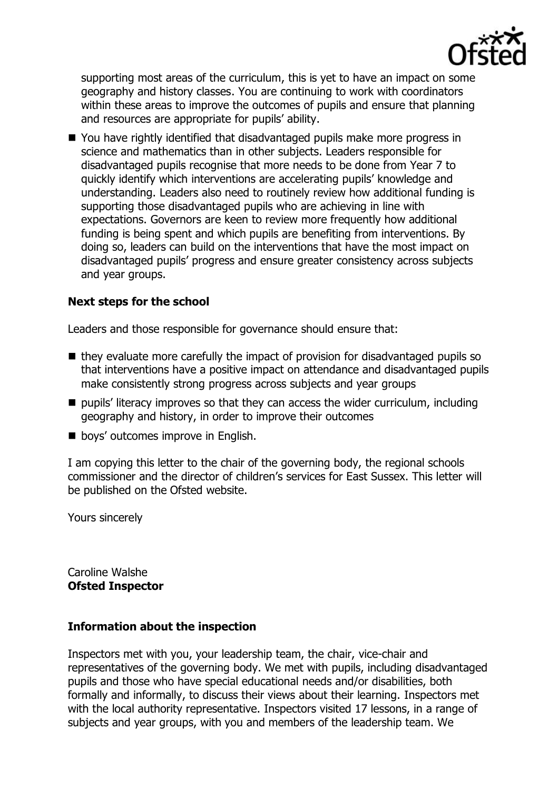

supporting most areas of the curriculum, this is yet to have an impact on some geography and history classes. You are continuing to work with coordinators within these areas to improve the outcomes of pupils and ensure that planning and resources are appropriate for pupils' ability.

■ You have rightly identified that disadvantaged pupils make more progress in science and mathematics than in other subjects. Leaders responsible for disadvantaged pupils recognise that more needs to be done from Year 7 to quickly identify which interventions are accelerating pupils' knowledge and understanding. Leaders also need to routinely review how additional funding is supporting those disadvantaged pupils who are achieving in line with expectations. Governors are keen to review more frequently how additional funding is being spent and which pupils are benefiting from interventions. By doing so, leaders can build on the interventions that have the most impact on disadvantaged pupils' progress and ensure greater consistency across subjects and year groups.

## **Next steps for the school**

Leaders and those responsible for governance should ensure that:

- $\blacksquare$  they evaluate more carefully the impact of provision for disadvantaged pupils so that interventions have a positive impact on attendance and disadvantaged pupils make consistently strong progress across subjects and year groups
- $\blacksquare$  pupils' literacy improves so that they can access the wider curriculum, including geography and history, in order to improve their outcomes
- **boys' outcomes improve in English.**

I am copying this letter to the chair of the governing body, the regional schools commissioner and the director of children's services for East Sussex. This letter will be published on the Ofsted website.

Yours sincerely

Caroline Walshe **Ofsted Inspector**

#### **Information about the inspection**

Inspectors met with you, your leadership team, the chair, vice-chair and representatives of the governing body. We met with pupils, including disadvantaged pupils and those who have special educational needs and/or disabilities, both formally and informally, to discuss their views about their learning. Inspectors met with the local authority representative. Inspectors visited 17 lessons, in a range of subjects and year groups, with you and members of the leadership team. We